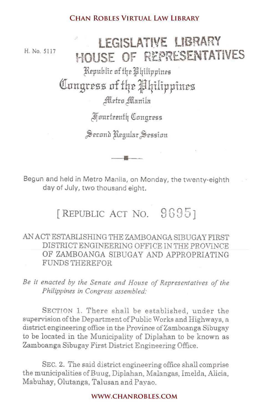H. No. 5117

# **lEGISLATIVE LIBRARY** HOUSE OF REPRESENTATIVES

Republic of the Philippines Q1nn£r~z£i**Df f42** J4iIippi1t~Z

Metro Manila

~uurf££nfIT CfIungrrss

Begun and held in Metro Manila, on Monday, the twenty-eighth day of July, two thousand eight.

## [REPUBLIC ACT NO. 9695]

### AN ACT ESTABLISHING THE ZAMBOANGA SIBUGAY FIRST DISTRICT ENGINEERING OFFICE IN THE PROVINCE OF ZAMBOANGA SIBUGAY AND APPROPRIATING FUNDS THEREFOR

*Be it enacted by the Senate and House of Representatives of the Philippines in Congress assembled:*

SECTION 1. There shall be established, under the supervision of the Department of Public Works and Highways, a district engineering office in the Province of Zamboanga Sibugay to be located in the Municipality of Diplahan to be known as Zamboanga Sibugay First District Engineering Office. **CHAN ROBLES VIRTUAL LAW LIBRARY<br>
CHAN ROUSE OF REPRESEN**<br>
Republic of the Alpitilippines<br>
MICHE OF REPRESEN<br>
Republic of the Alpitilippines<br>
After Allantila<br>
Apurteently Congress<br>
Second Regular Session<br>
And in Metro Mani

SEC. 2. The said district engineering office shall comprise the municipalities of Buug, Diplahan, Malangas, Imelda, Alicia, Mabuhay, Olutanga, Talusan and Pavao.